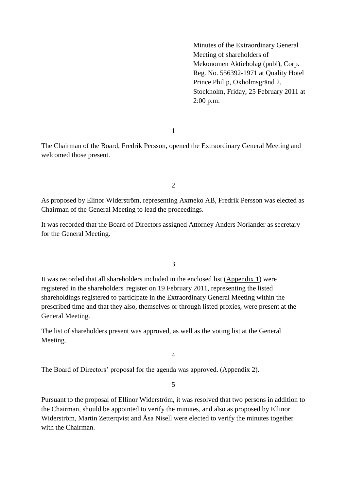Minutes of the Extraordinary General Meeting of shareholders of Mekonomen Aktiebolag (publ), Corp. Reg. No. 556392-1971 at Quality Hotel Prince Philip, Oxholmsgränd 2, Stockholm, Friday, 25 February 2011 at 2:00 p.m.

1

The Chairman of the Board, Fredrik Persson, opened the Extraordinary General Meeting and welcomed those present.

2

As proposed by Elinor Widerström, representing Axmeko AB, Fredrik Persson was elected as Chairman of the General Meeting to lead the proceedings.

It was recorded that the Board of Directors assigned Attorney Anders Norlander as secretary for the General Meeting.

3

It was recorded that all shareholders included in the enclosed list (Appendix 1) were registered in the shareholders' register on 19 February 2011, representing the listed shareholdings registered to participate in the Extraordinary General Meeting within the prescribed time and that they also, themselves or through listed proxies, were present at the General Meeting.

The list of shareholders present was approved, as well as the voting list at the General Meeting.

4

The Board of Directors' proposal for the agenda was approved. (Appendix 2).

5

Pursuant to the proposal of Ellinor Widerström, it was resolved that two persons in addition to the Chairman, should be appointed to verify the minutes, and also as proposed by Ellinor Widerström, Martin Zetterqvist and Åsa Nisell were elected to verify the minutes together with the Chairman.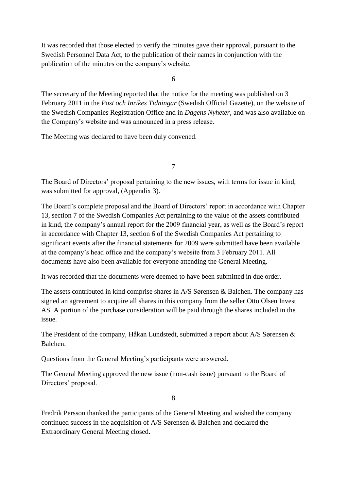It was recorded that those elected to verify the minutes gave their approval, pursuant to the Swedish Personnel Data Act, to the publication of their names in conjunction with the publication of the minutes on the company's website.

6

The secretary of the Meeting reported that the notice for the meeting was published on 3 February 2011 in the *Post och Inrikes Tidningar* (Swedish Official Gazette), on the website of the Swedish Companies Registration Office and in *Dagens Nyheter*, and was also available on the Company's website and was announced in a press release.

The Meeting was declared to have been duly convened.

7

The Board of Directors' proposal pertaining to the new issues, with terms for issue in kind, was submitted for approval, (Appendix 3).

The Board's complete proposal and the Board of Directors' report in accordance with Chapter 13, section 7 of the Swedish Companies Act pertaining to the value of the assets contributed in kind, the company's annual report for the 2009 financial year, as well as the Board's report in accordance with Chapter 13, section 6 of the Swedish Companies Act pertaining to significant events after the financial statements for 2009 were submitted have been available at the company's head office and the company's website from 3 February 2011. All documents have also been available for everyone attending the General Meeting.

It was recorded that the documents were deemed to have been submitted in due order.

The assets contributed in kind comprise shares in A/S Sørensen & Balchen. The company has signed an agreement to acquire all shares in this company from the seller Otto Olsen Invest AS. A portion of the purchase consideration will be paid through the shares included in the issue.

The President of the company, Håkan Lundstedt, submitted a report about A/S Sørensen & Balchen.

Questions from the General Meeting's participants were answered.

The General Meeting approved the new issue (non-cash issue) pursuant to the Board of Directors' proposal.

8

Fredrik Persson thanked the participants of the General Meeting and wished the company continued success in the acquisition of A/S Sørensen & Balchen and declared the Extraordinary General Meeting closed.